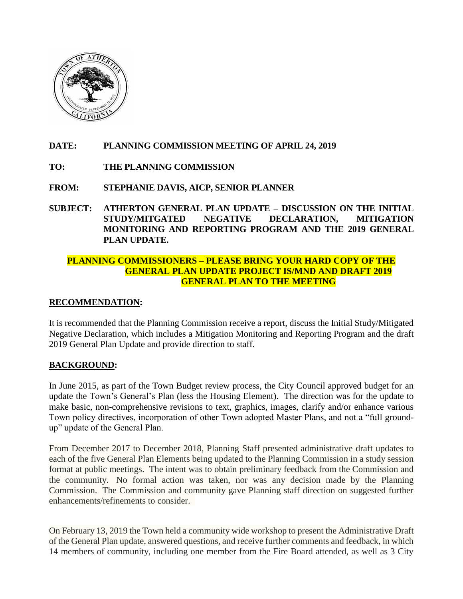

# **DATE: PLANNING COMMISSION MEETING OF APRIL 24, 2019**

- **TO: THE PLANNING COMMISSION**
- **FROM: STEPHANIE DAVIS, AICP, SENIOR PLANNER**
- **SUBJECT: ATHERTON GENERAL PLAN UPDATE – DISCUSSION ON THE INITIAL STUDY/MITGATED NEGATIVE DECLARATION, MITIGATION MONITORING AND REPORTING PROGRAM AND THE 2019 GENERAL PLAN UPDATE.**

# **PLANNING COMMISSIONERS – PLEASE BRING YOUR HARD COPY OF THE GENERAL PLAN UPDATE PROJECT IS/MND AND DRAFT 2019 GENERAL PLAN TO THE MEETING**

# **RECOMMENDATION:**

It is recommended that the Planning Commission receive a report, discuss the Initial Study/Mitigated Negative Declaration, which includes a Mitigation Monitoring and Reporting Program and the draft 2019 General Plan Update and provide direction to staff.

# **BACKGROUND:**

In June 2015, as part of the Town Budget review process, the City Council approved budget for an update the Town's General's Plan (less the Housing Element). The direction was for the update to make basic, non-comprehensive revisions to text, graphics, images, clarify and/or enhance various Town policy directives, incorporation of other Town adopted Master Plans, and not a "full groundup" update of the General Plan.

From December 2017 to December 2018, Planning Staff presented administrative draft updates to each of the five General Plan Elements being updated to the Planning Commission in a study session format at public meetings. The intent was to obtain preliminary feedback from the Commission and the community. No formal action was taken, nor was any decision made by the Planning Commission. The Commission and community gave Planning staff direction on suggested further enhancements/refinements to consider.

On February 13, 2019 the Town held a community wide workshop to present the Administrative Draft of the General Plan update, answered questions, and receive further comments and feedback, in which 14 members of community, including one member from the Fire Board attended, as well as 3 City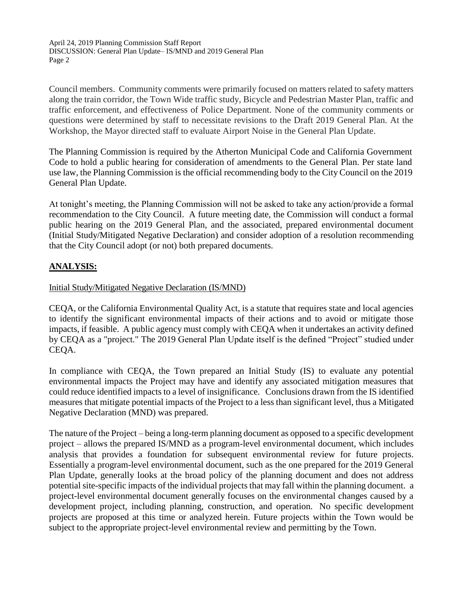Council members. Community comments were primarily focused on matters related to safety matters along the train corridor, the Town Wide traffic study, Bicycle and Pedestrian Master Plan, traffic and traffic enforcement, and effectiveness of Police Department. None of the community comments or questions were determined by staff to necessitate revisions to the Draft 2019 General Plan. At the Workshop, the Mayor directed staff to evaluate Airport Noise in the General Plan Update.

The Planning Commission is required by the Atherton Municipal Code and California Government Code to hold a public hearing for consideration of amendments to the General Plan. Per state land use law, the Planning Commission is the official recommending body to the City Council on the 2019 General Plan Update.

At tonight's meeting, the Planning Commission will not be asked to take any action/provide a formal recommendation to the City Council. A future meeting date, the Commission will conduct a formal public hearing on the 2019 General Plan, and the associated, prepared environmental document (Initial Study/Mitigated Negative Declaration) and consider adoption of a resolution recommending that the City Council adopt (or not) both prepared documents.

# **ANALYSIS:**

# Initial Study/Mitigated Negative Declaration (IS/MND)

CEQA, or the California Environmental Quality Act, is a statute that requires state and local agencies to identify the significant environmental impacts of their actions and to avoid or mitigate those impacts, if feasible. A public agency must comply with CEQA when it undertakes an activity defined by CEQA as a "project." The 2019 General Plan Update itself is the defined "Project" studied under CEQA.

In compliance with CEQA, the Town prepared an Initial Study (IS) to evaluate any potential environmental impacts the Project may have and identify any associated mitigation measures that could reduce identified impacts to a level of insignificance. Conclusions drawn from the IS identified measures that mitigate potential impacts of the Project to a less than significant level, thus a Mitigated Negative Declaration (MND) was prepared.

The nature of the Project – being a long-term planning document as opposed to a specific development project – allows the prepared IS/MND as a program-level environmental document, which includes analysis that provides a foundation for subsequent environmental review for future projects. Essentially a program-level environmental document, such as the one prepared for the 2019 General Plan Update, generally looks at the broad policy of the planning document and does not address potential site-specific impacts of the individual projects that may fall within the planning document. a project-level environmental document generally focuses on the environmental changes caused by a development project, including planning, construction, and operation. No specific development projects are proposed at this time or analyzed herein. Future projects within the Town would be subject to the appropriate project-level environmental review and permitting by the Town.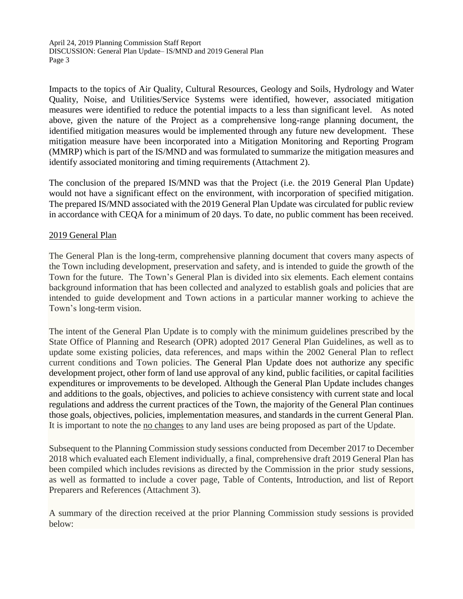Impacts to the topics of Air Quality, Cultural Resources, Geology and Soils, Hydrology and Water Quality, Noise, and Utilities/Service Systems were identified, however, associated mitigation measures were identified to reduce the potential impacts to a less than significant level. As noted above, given the nature of the Project as a comprehensive long-range planning document, the identified mitigation measures would be implemented through any future new development. These mitigation measure have been incorporated into a Mitigation Monitoring and Reporting Program (MMRP) which is part of the IS/MND and was formulated to summarize the mitigation measures and identify associated monitoring and timing requirements (Attachment 2).

The conclusion of the prepared IS/MND was that the Project (i.e. the 2019 General Plan Update) would not have a significant effect on the environment, with incorporation of specified mitigation. The prepared IS/MND associated with the 2019 General Plan Update was circulated for public review in accordance with CEQA for a minimum of 20 days. To date, no public comment has been received.

#### 2019 General Plan

The General Plan is the long-term, comprehensive planning document that covers many aspects of the Town including development, preservation and safety, and is intended to guide the growth of the Town for the future. The Town's General Plan is divided into six elements. Each element contains background information that has been collected and analyzed to establish goals and policies that are intended to guide development and Town actions in a particular manner working to achieve the Town's long-term vision.

The intent of the General Plan Update is to comply with the minimum guidelines prescribed by the State Office of Planning and Research (OPR) adopted 2017 General Plan Guidelines, as well as to update some existing policies, data references, and maps within the 2002 General Plan to reflect current conditions and Town policies. The General Plan Update does not authorize any specific development project, other form of land use approval of any kind, public facilities, or capital facilities expenditures or improvements to be developed. Although the General Plan Update includes changes and additions to the goals, objectives, and policies to achieve consistency with current state and local regulations and address the current practices of the Town, the majority of the General Plan continues those goals, objectives, policies, implementation measures, and standards in the current General Plan. It is important to note the no changes to any land uses are being proposed as part of the Update.

Subsequent to the Planning Commission study sessions conducted from December 2017 to December 2018 which evaluated each Element individually, a final, comprehensive draft 2019 General Plan has been compiled which includes revisions as directed by the Commission in the prior study sessions, as well as formatted to include a cover page, Table of Contents, Introduction, and list of Report Preparers and References (Attachment 3).

A summary of the direction received at the prior Planning Commission study sessions is provided below: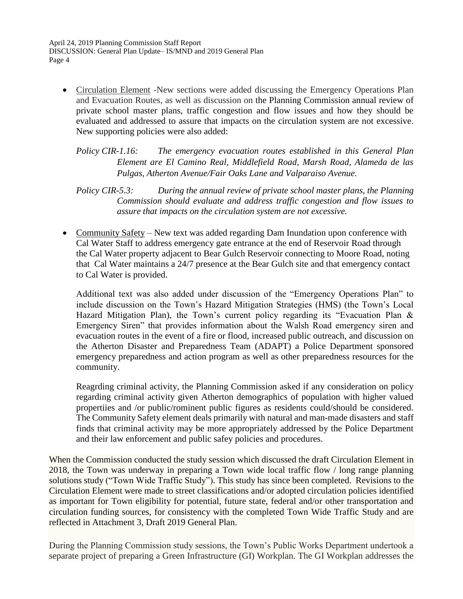• Circulation Element -New sections were added discussing the Emergency Operations Plan and Evacuation Routes, as well as discussion on the Planning Commission annual review of private school master plans, traffic congestion and flow issues and how they should be evaluated and addressed to assure that impacts on the circulation system are not excessive. New supporting policies were also added:

*Policy CIR-1.16: The emergency evacuation routes established in this General Plan Element are El Camino Real, Middlefield Road, Marsh Road, Alameda de las Pulgas, Atherton Avenue/Fair Oaks Lane and Valparaiso Avenue.* 

- *Policy CIR-5.3: During the annual review of private school master plans, the Planning Commission should evaluate and address traffic congestion and flow issues to assure that impacts on the circulation system are not excessive.*
- Community Safety New text was added regarding Dam Inundation upon conference with Cal Water Staff to address emergency gate entrance at the end of Reservoir Road through the Cal Water property adjacent to Bear Gulch Reservoir connecting to Moore Road, noting that Cal Water maintains a 24/7 presence at the Bear Gulch site and that emergency contact to Cal Water is provided.

Additional text was also added under discussion of the "Emergency Operations Plan" to include discussion on the Town's Hazard Mitigation Strategies (HMS) (the Town's Local Hazard Mitigation Plan), the Town's current policy regarding its "Evacuation Plan & Emergency Siren" that provides information about the Walsh Road emergency siren and evacuation routes in the event of a fire or flood, increased public outreach, and discussion on the Atherton Disaster and Preparedness Team (ADAPT) a Police Department sponsored emergency preparedness and action program as well as other preparedness resources for the community.

Reagrding criminal activity, the Planning Commission asked if any consideration on policy regarding criminal activity given Atherton demographics of population with higher valued propertiies and /or public/rominent public figures as residents could/should be considered. The Community Safety element deals primarily with natural and man-made disasters and staff finds that criminal activity may be more appropriately addressed by the Police Department and their law enforcement and public safey policies and procedures.

When the Commission conducted the study session which discussed the draft Circulation Element in 2018, the Town was underway in preparing a Town wide local traffic flow / long range planning solutions study ("Town Wide Traffic Study"). This study has since been completed. Revisions to the Circulation Element were made to street classifications and/or adopted circulation policies identified as important for Town eligibility for potential, future state, federal and/or other transportation and circulation funding sources, for consistency with the completed Town Wide Traffic Study and are reflected in Attachment 3, Draft 2019 General Plan.

During the Planning Commission study sessions, the Town's Public Works Department undertook a separate project of preparing a Green Infrastructure (GI) Workplan. The GI Workplan addresses the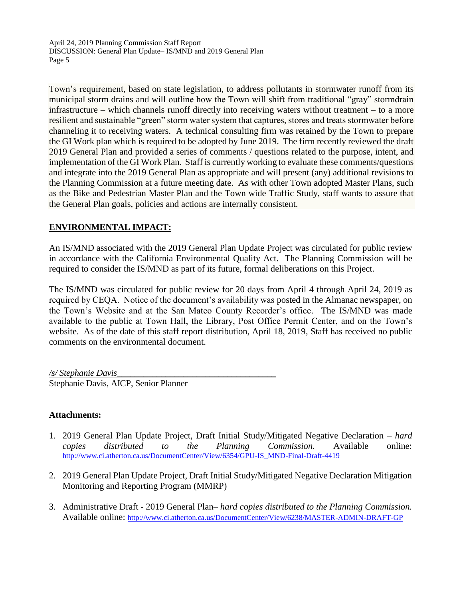Town's requirement, based on state legislation, to address pollutants in stormwater runoff from its municipal storm drains and will outline how the Town will shift from traditional "gray" stormdrain infrastructure – which channels runoff directly into receiving waters without treatment – to a more resilient and sustainable "green" storm water system that captures, stores and treats stormwater before channeling it to receiving waters. A technical consulting firm was retained by the Town to prepare the GI Work plan which is required to be adopted by June 2019. The firm recently reviewed the draft 2019 General Plan and provided a series of comments / questions related to the purpose, intent, and implementation of the GI Work Plan. Staff is currently working to evaluate these comments/questions and integrate into the 2019 General Plan as appropriate and will present (any) additional revisions to the Planning Commission at a future meeting date. As with other Town adopted Master Plans, such as the Bike and Pedestrian Master Plan and the Town wide Traffic Study, staff wants to assure that the General Plan goals, policies and actions are internally consistent.

# **ENVIRONMENTAL IMPACT:**

An IS/MND associated with the 2019 General Plan Update Project was circulated for public review in accordance with the California Environmental Quality Act. The Planning Commission will be required to consider the IS/MND as part of its future, formal deliberations on this Project.

The IS/MND was circulated for public review for 20 days from April 4 through April 24, 2019 as required by CEQA. Notice of the document's availability was posted in the Almanac newspaper, on the Town's Website and at the San Mateo County Recorder's office. The IS/MND was made available to the public at Town Hall, the Library, Post Office Permit Center, and on the Town's website. As of the date of this staff report distribution, April 18, 2019, Staff has received no public comments on the environmental document.

*/s/ Stephanie Davis\_\_\_\_\_\_\_\_\_\_\_\_\_\_\_\_\_\_\_\_\_\_\_\_\_\_\_\_\_\_\_\_\_\_\_\_* Stephanie Davis, AICP, Senior Planner

#### **Attachments:**

- 1. 2019 General Plan Update Project, Draft Initial Study/Mitigated Negative Declaration *hard copies distributed to the Planning Commission.* Available online: [http://www.ci.atherton.ca.us/DocumentCenter/View/6354/GPU-IS\\_MND-Final-Draft-4419](http://www.ci.atherton.ca.us/DocumentCenter/View/6354/GPU-IS_MND-Final-Draft-4419)
- 2. 2019 General Plan Update Project, Draft Initial Study/Mitigated Negative Declaration Mitigation Monitoring and Reporting Program (MMRP)
- 3. Administrative Draft 2019 General Plan– *hard copies distributed to the Planning Commission.*  Available online: <http://www.ci.atherton.ca.us/DocumentCenter/View/6238/MASTER-ADMIN-DRAFT-GP>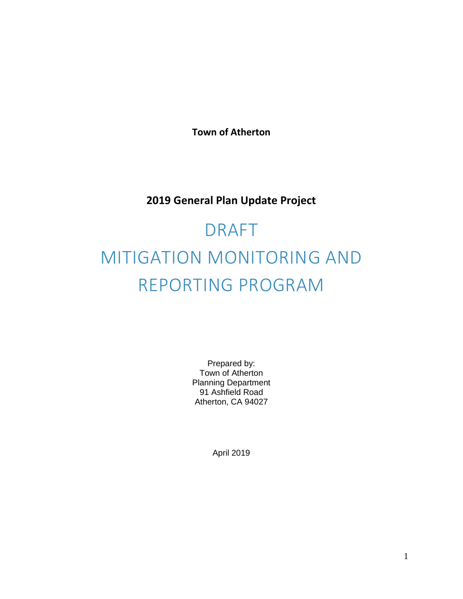**Town of Atherton**

# **2019 General Plan Update Project**

# DRAFT MITIGATION MONITORING AND REPORTING PROGRAM

Prepared by: Town of Atherton Planning Department 91 Ashfield Road Atherton, CA 94027

April 2019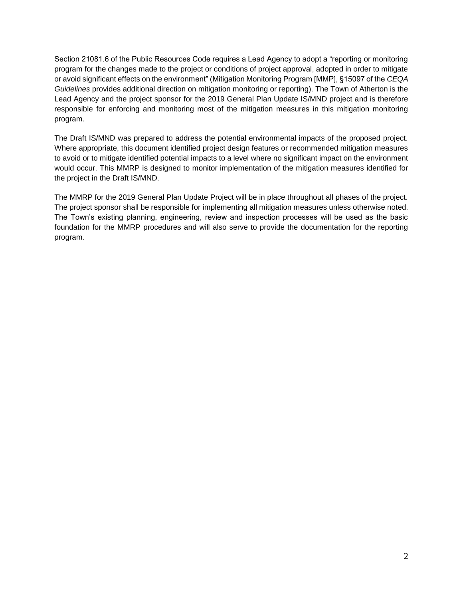Section 21081.6 of the Public Resources Code requires a Lead Agency to adopt a "reporting or monitoring program for the changes made to the project or conditions of project approval, adopted in order to mitigate or avoid significant effects on the environment" (Mitigation Monitoring Program [MMP], §15097 of the *CEQA Guidelines* provides additional direction on mitigation monitoring or reporting). The Town of Atherton is the Lead Agency and the project sponsor for the 2019 General Plan Update IS/MND project and is therefore responsible for enforcing and monitoring most of the mitigation measures in this mitigation monitoring program.

The Draft IS/MND was prepared to address the potential environmental impacts of the proposed project. Where appropriate, this document identified project design features or recommended mitigation measures to avoid or to mitigate identified potential impacts to a level where no significant impact on the environment would occur. This MMRP is designed to monitor implementation of the mitigation measures identified for the project in the Draft IS/MND.

The MMRP for the 2019 General Plan Update Project will be in place throughout all phases of the project. The project sponsor shall be responsible for implementing all mitigation measures unless otherwise noted. The Town's existing planning, engineering, review and inspection processes will be used as the basic foundation for the MMRP procedures and will also serve to provide the documentation for the reporting program.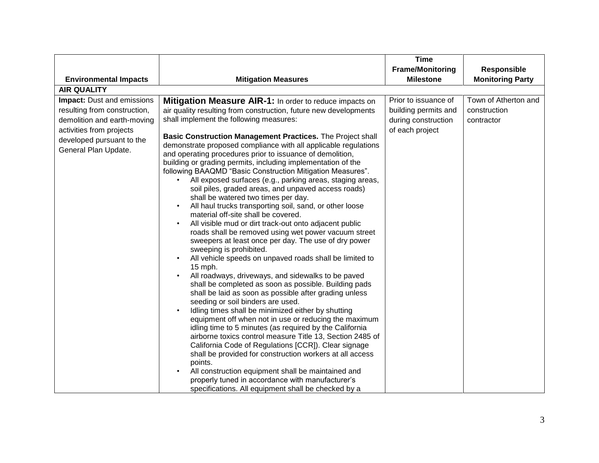|                                                                                                                                                                                                                   |                                                                                                                                                                                                                                                                                                                                                                                                                                                                                                                                                                                                                                                                                                                                                                                                                                                                                                                                                                                                                                                               | <b>Time</b>                                                                                                |                                                                               |
|-------------------------------------------------------------------------------------------------------------------------------------------------------------------------------------------------------------------|---------------------------------------------------------------------------------------------------------------------------------------------------------------------------------------------------------------------------------------------------------------------------------------------------------------------------------------------------------------------------------------------------------------------------------------------------------------------------------------------------------------------------------------------------------------------------------------------------------------------------------------------------------------------------------------------------------------------------------------------------------------------------------------------------------------------------------------------------------------------------------------------------------------------------------------------------------------------------------------------------------------------------------------------------------------|------------------------------------------------------------------------------------------------------------|-------------------------------------------------------------------------------|
|                                                                                                                                                                                                                   |                                                                                                                                                                                                                                                                                                                                                                                                                                                                                                                                                                                                                                                                                                                                                                                                                                                                                                                                                                                                                                                               | <b>Frame/Monitoring</b>                                                                                    | <b>Responsible</b>                                                            |
|                                                                                                                                                                                                                   |                                                                                                                                                                                                                                                                                                                                                                                                                                                                                                                                                                                                                                                                                                                                                                                                                                                                                                                                                                                                                                                               |                                                                                                            |                                                                               |
| <b>AIR QUALITY</b>                                                                                                                                                                                                |                                                                                                                                                                                                                                                                                                                                                                                                                                                                                                                                                                                                                                                                                                                                                                                                                                                                                                                                                                                                                                                               |                                                                                                            |                                                                               |
| <b>Environmental Impacts</b><br><b>Impact:</b> Dust and emissions<br>resulting from construction,<br>demolition and earth-moving<br>activities from projects<br>developed pursuant to the<br>General Plan Update. | <b>Mitigation Measures</b><br>Mitigation Measure AIR-1: In order to reduce impacts on<br>air quality resulting from construction, future new developments<br>shall implement the following measures:<br>Basic Construction Management Practices. The Project shall<br>demonstrate proposed compliance with all applicable regulations<br>and operating procedures prior to issuance of demolition,<br>building or grading permits, including implementation of the<br>following BAAQMD "Basic Construction Mitigation Measures".<br>All exposed surfaces (e.g., parking areas, staging areas,<br>soil piles, graded areas, and unpaved access roads)<br>shall be watered two times per day.<br>All haul trucks transporting soil, sand, or other loose<br>material off-site shall be covered.<br>All visible mud or dirt track-out onto adjacent public<br>roads shall be removed using wet power vacuum street<br>sweepers at least once per day. The use of dry power<br>sweeping is prohibited.<br>All vehicle speeds on unpaved roads shall be limited to | <b>Milestone</b><br>Prior to issuance of<br>building permits and<br>during construction<br>of each project | <b>Monitoring Party</b><br>Town of Atherton and<br>construction<br>contractor |
|                                                                                                                                                                                                                   | 15 mph.<br>All roadways, driveways, and sidewalks to be paved<br>shall be completed as soon as possible. Building pads<br>shall be laid as soon as possible after grading unless<br>seeding or soil binders are used.<br>Idling times shall be minimized either by shutting<br>equipment off when not in use or reducing the maximum<br>idling time to 5 minutes (as required by the California<br>airborne toxics control measure Title 13, Section 2485 of<br>California Code of Regulations [CCR]). Clear signage<br>shall be provided for construction workers at all access<br>points.<br>All construction equipment shall be maintained and<br>properly tuned in accordance with manufacturer's<br>specifications. All equipment shall be checked by a                                                                                                                                                                                                                                                                                                  |                                                                                                            |                                                                               |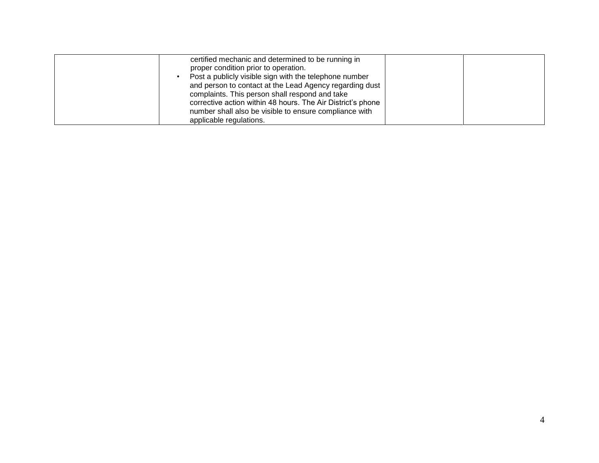| certified mechanic and determined to be running in<br>proper condition prior to operation.<br>Post a publicly visible sign with the telephone number<br>and person to contact at the Lead Agency regarding dust<br>complaints. This person shall respond and take |  |
|-------------------------------------------------------------------------------------------------------------------------------------------------------------------------------------------------------------------------------------------------------------------|--|
| corrective action within 48 hours. The Air District's phone<br>number shall also be visible to ensure compliance with<br>applicable regulations.                                                                                                                  |  |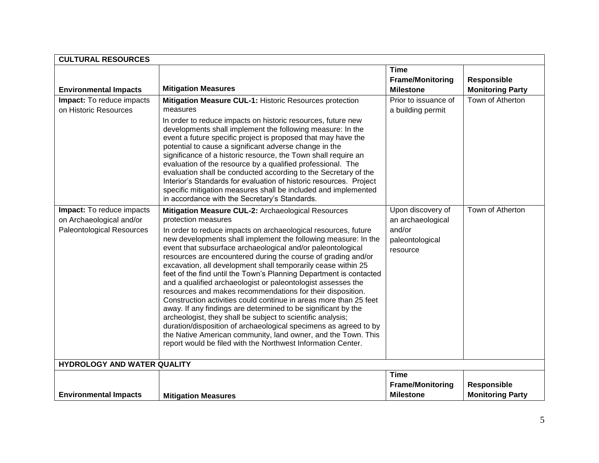| <b>CULTURAL RESOURCES</b>                                                                 |                                                                                                                                                                                                                                                                                                                                                                                                                                                                                                                                                                                                                                                                                                                                                                                                                                                                                                                                                                                                                                                                               |                                                                                 |                                               |
|-------------------------------------------------------------------------------------------|-------------------------------------------------------------------------------------------------------------------------------------------------------------------------------------------------------------------------------------------------------------------------------------------------------------------------------------------------------------------------------------------------------------------------------------------------------------------------------------------------------------------------------------------------------------------------------------------------------------------------------------------------------------------------------------------------------------------------------------------------------------------------------------------------------------------------------------------------------------------------------------------------------------------------------------------------------------------------------------------------------------------------------------------------------------------------------|---------------------------------------------------------------------------------|-----------------------------------------------|
|                                                                                           |                                                                                                                                                                                                                                                                                                                                                                                                                                                                                                                                                                                                                                                                                                                                                                                                                                                                                                                                                                                                                                                                               | Time<br><b>Frame/Monitoring</b>                                                 | <b>Responsible</b>                            |
| <b>Environmental Impacts</b>                                                              | <b>Mitigation Measures</b>                                                                                                                                                                                                                                                                                                                                                                                                                                                                                                                                                                                                                                                                                                                                                                                                                                                                                                                                                                                                                                                    | <b>Milestone</b>                                                                | <b>Monitoring Party</b>                       |
| Impact: To reduce impacts<br>on Historic Resources                                        | Mitigation Measure CUL-1: Historic Resources protection<br>measures<br>In order to reduce impacts on historic resources, future new<br>developments shall implement the following measure: In the<br>event a future specific project is proposed that may have the<br>potential to cause a significant adverse change in the<br>significance of a historic resource, the Town shall require an<br>evaluation of the resource by a qualified professional. The<br>evaluation shall be conducted according to the Secretary of the<br>Interior's Standards for evaluation of historic resources. Project<br>specific mitigation measures shall be included and implemented                                                                                                                                                                                                                                                                                                                                                                                                      | Prior to issuance of<br>a building permit                                       | Town of Atherton                              |
| Impact: To reduce impacts<br>on Archaeological and/or<br><b>Paleontological Resources</b> | in accordance with the Secretary's Standards.<br>Mitigation Measure CUL-2: Archaeological Resources<br>protection measures<br>In order to reduce impacts on archaeological resources, future<br>new developments shall implement the following measure: In the<br>event that subsurface archaeological and/or paleontological<br>resources are encountered during the course of grading and/or<br>excavation, all development shall temporarily cease within 25<br>feet of the find until the Town's Planning Department is contacted<br>and a qualified archaeologist or paleontologist assesses the<br>resources and makes recommendations for their disposition.<br>Construction activities could continue in areas more than 25 feet<br>away. If any findings are determined to be significant by the<br>archeologist, they shall be subject to scientific analysis;<br>duration/disposition of archaeological specimens as agreed to by<br>the Native American community, land owner, and the Town. This<br>report would be filed with the Northwest Information Center. | Upon discovery of<br>an archaeological<br>and/or<br>paleontological<br>resource | Town of Atherton                              |
| HYDROLOGY AND WATER QUALITY                                                               |                                                                                                                                                                                                                                                                                                                                                                                                                                                                                                                                                                                                                                                                                                                                                                                                                                                                                                                                                                                                                                                                               |                                                                                 |                                               |
| <b>Environmental Impacts</b>                                                              | <b>Mitigation Measures</b>                                                                                                                                                                                                                                                                                                                                                                                                                                                                                                                                                                                                                                                                                                                                                                                                                                                                                                                                                                                                                                                    | <b>Time</b><br><b>Frame/Monitoring</b><br><b>Milestone</b>                      | <b>Responsible</b><br><b>Monitoring Party</b> |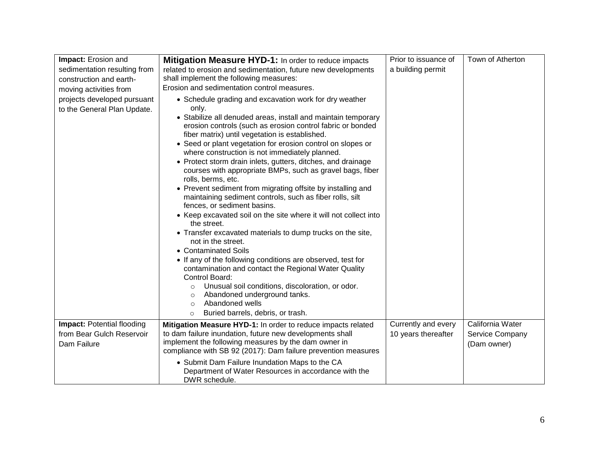| Impact: Erosion and               | <b>Mitigation Measure HYD-1:</b> In order to reduce impacts                                                  | Prior to issuance of | Town of Atherton |
|-----------------------------------|--------------------------------------------------------------------------------------------------------------|----------------------|------------------|
| sedimentation resulting from      | related to erosion and sedimentation, future new developments                                                | a building permit    |                  |
| construction and earth-           | shall implement the following measures:                                                                      |                      |                  |
| moving activities from            | Erosion and sedimentation control measures.                                                                  |                      |                  |
| projects developed pursuant       | • Schedule grading and excavation work for dry weather                                                       |                      |                  |
| to the General Plan Update.       | only.                                                                                                        |                      |                  |
|                                   | • Stabilize all denuded areas, install and maintain temporary                                                |                      |                  |
|                                   | erosion controls (such as erosion control fabric or bonded<br>fiber matrix) until vegetation is established. |                      |                  |
|                                   | • Seed or plant vegetation for erosion control on slopes or                                                  |                      |                  |
|                                   | where construction is not immediately planned.                                                               |                      |                  |
|                                   | • Protect storm drain inlets, gutters, ditches, and drainage                                                 |                      |                  |
|                                   | courses with appropriate BMPs, such as gravel bags, fiber                                                    |                      |                  |
|                                   | rolls, berms, etc.                                                                                           |                      |                  |
|                                   | • Prevent sediment from migrating offsite by installing and                                                  |                      |                  |
|                                   | maintaining sediment controls, such as fiber rolls, silt<br>fences, or sediment basins.                      |                      |                  |
|                                   | • Keep excavated soil on the site where it will not collect into                                             |                      |                  |
|                                   | the street.                                                                                                  |                      |                  |
|                                   | • Transfer excavated materials to dump trucks on the site,<br>not in the street.                             |                      |                  |
|                                   | • Contaminated Soils                                                                                         |                      |                  |
|                                   | • If any of the following conditions are observed, test for                                                  |                      |                  |
|                                   | contamination and contact the Regional Water Quality                                                         |                      |                  |
|                                   | Control Board:                                                                                               |                      |                  |
|                                   | Unusual soil conditions, discoloration, or odor.<br>$\circ$<br>Abandoned underground tanks.<br>$\circ$       |                      |                  |
|                                   | Abandoned wells<br>$\Omega$                                                                                  |                      |                  |
|                                   | Buried barrels, debris, or trash.<br>$\circ$                                                                 |                      |                  |
| <b>Impact: Potential flooding</b> | Mitigation Measure HYD-1: In order to reduce impacts related                                                 | Currently and every  | California Water |
| from Bear Gulch Reservoir         | to dam failure inundation, future new developments shall                                                     | 10 years thereafter  | Service Company  |
| Dam Failure                       | implement the following measures by the dam owner in                                                         |                      | (Dam owner)      |
|                                   | compliance with SB 92 (2017): Dam failure prevention measures                                                |                      |                  |
|                                   | • Submit Dam Failure Inundation Maps to the CA                                                               |                      |                  |
|                                   | Department of Water Resources in accordance with the<br>DWR schedule.                                        |                      |                  |